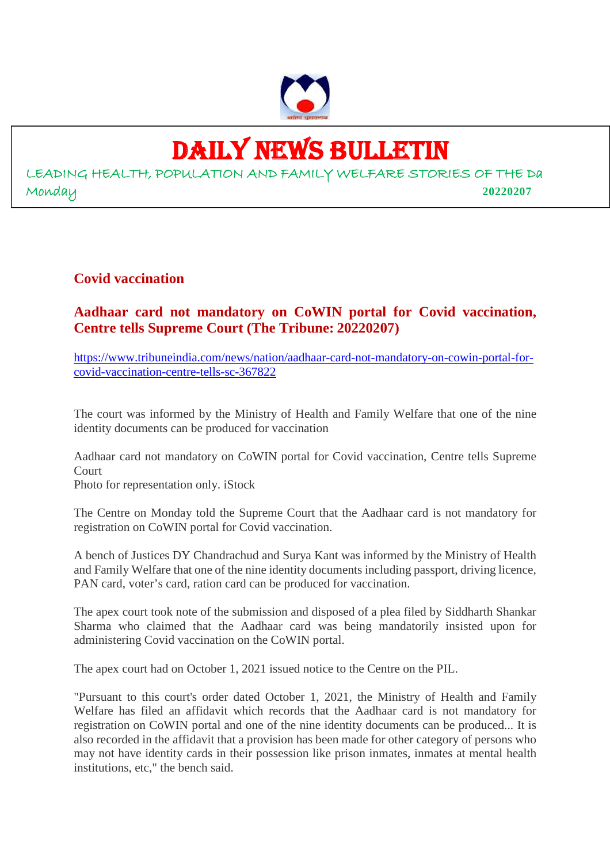

# DAILY NEWS BULLETIN

LEADING HEALTH, POPULATION AND FAMILY WELFARE STORIES OF THE Da Monday **20220207**

## **Covid vaccination**

## **Aadhaar card not mandatory on CoWIN portal for Covid vaccination, Centre tells Supreme Court (The Tribune: 20220207)**

https://www.tribuneindia.com/news/nation/aadhaar-card-not-mandatory-on-cowin-portal-forcovid-vaccination-centre-tells-sc-367822

The court was informed by the Ministry of Health and Family Welfare that one of the nine identity documents can be produced for vaccination

Aadhaar card not mandatory on CoWIN portal for Covid vaccination, Centre tells Supreme Court

Photo for representation only. iStock

The Centre on Monday told the Supreme Court that the Aadhaar card is not mandatory for registration on CoWIN portal for Covid vaccination.

A bench of Justices DY Chandrachud and Surya Kant was informed by the Ministry of Health and Family Welfare that one of the nine identity documents including passport, driving licence, PAN card, voter's card, ration card can be produced for vaccination.

The apex court took note of the submission and disposed of a plea filed by Siddharth Shankar Sharma who claimed that the Aadhaar card was being mandatorily insisted upon for administering Covid vaccination on the CoWIN portal.

The apex court had on October 1, 2021 issued notice to the Centre on the PIL.

"Pursuant to this court's order dated October 1, 2021, the Ministry of Health and Family Welfare has filed an affidavit which records that the Aadhaar card is not mandatory for registration on CoWIN portal and one of the nine identity documents can be produced... It is also recorded in the affidavit that a provision has been made for other category of persons who may not have identity cards in their possession like prison inmates, inmates at mental health institutions, etc," the bench said.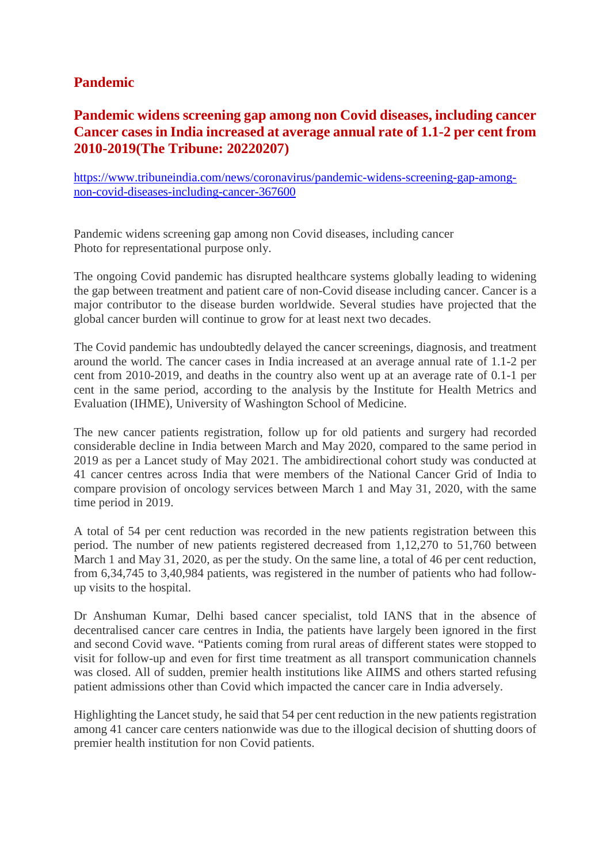## **Pandemic**

# **Pandemic widens screening gap among non Covid diseases, including cancer Cancer cases in India increased at average annual rate of 1.1-2 per cent from 2010-2019(The Tribune: 20220207)**

https://www.tribuneindia.com/news/coronavirus/pandemic-widens-screening-gap-amongnon-covid-diseases-including-cancer-367600

Pandemic widens screening gap among non Covid diseases, including cancer Photo for representational purpose only.

The ongoing Covid pandemic has disrupted healthcare systems globally leading to widening the gap between treatment and patient care of non-Covid disease including cancer. Cancer is a major contributor to the disease burden worldwide. Several studies have projected that the global cancer burden will continue to grow for at least next two decades.

The Covid pandemic has undoubtedly delayed the cancer screenings, diagnosis, and treatment around the world. The cancer cases in India increased at an average annual rate of 1.1-2 per cent from 2010-2019, and deaths in the country also went up at an average rate of 0.1-1 per cent in the same period, according to the analysis by the Institute for Health Metrics and Evaluation (IHME), University of Washington School of Medicine.

The new cancer patients registration, follow up for old patients and surgery had recorded considerable decline in India between March and May 2020, compared to the same period in 2019 as per a Lancet study of May 2021. The ambidirectional cohort study was conducted at 41 cancer centres across India that were members of the National Cancer Grid of India to compare provision of oncology services between March 1 and May 31, 2020, with the same time period in 2019.

A total of 54 per cent reduction was recorded in the new patients registration between this period. The number of new patients registered decreased from 1,12,270 to 51,760 between March 1 and May 31, 2020, as per the study. On the same line, a total of 46 per cent reduction, from 6,34,745 to 3,40,984 patients, was registered in the number of patients who had followup visits to the hospital.

Dr Anshuman Kumar, Delhi based cancer specialist, told IANS that in the absence of decentralised cancer care centres in India, the patients have largely been ignored in the first and second Covid wave. "Patients coming from rural areas of different states were stopped to visit for follow-up and even for first time treatment as all transport communication channels was closed. All of sudden, premier health institutions like AIIMS and others started refusing patient admissions other than Covid which impacted the cancer care in India adversely.

Highlighting the Lancet study, he said that 54 per cent reduction in the new patients registration among 41 cancer care centers nationwide was due to the illogical decision of shutting doors of premier health institution for non Covid patients.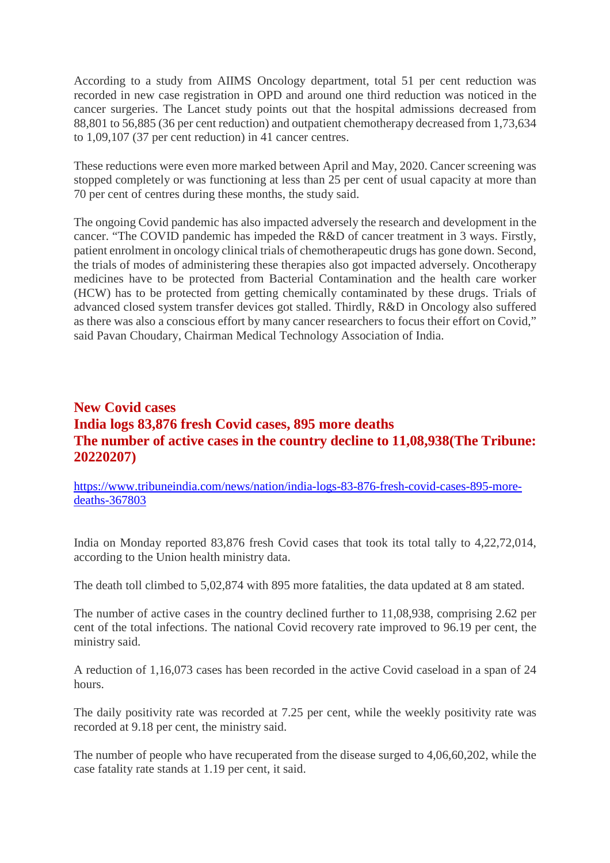According to a study from AIIMS Oncology department, total 51 per cent reduction was recorded in new case registration in OPD and around one third reduction was noticed in the cancer surgeries. The Lancet study points out that the hospital admissions decreased from 88,801 to 56,885 (36 per cent reduction) and outpatient chemotherapy decreased from 1,73,634 to 1,09,107 (37 per cent reduction) in 41 cancer centres.

These reductions were even more marked between April and May, 2020. Cancer screening was stopped completely or was functioning at less than 25 per cent of usual capacity at more than 70 per cent of centres during these months, the study said.

The ongoing Covid pandemic has also impacted adversely the research and development in the cancer. "The COVID pandemic has impeded the R&D of cancer treatment in 3 ways. Firstly, patient enrolment in oncology clinical trials of chemotherapeutic drugs has gone down. Second, the trials of modes of administering these therapies also got impacted adversely. Oncotherapy medicines have to be protected from Bacterial Contamination and the health care worker (HCW) has to be protected from getting chemically contaminated by these drugs. Trials of advanced closed system transfer devices got stalled. Thirdly, R&D in Oncology also suffered as there was also a conscious effort by many cancer researchers to focus their effort on Covid," said Pavan Choudary, Chairman Medical Technology Association of India.

# **New Covid cases India logs 83,876 fresh Covid cases, 895 more deaths The number of active cases in the country decline to 11,08,938(The Tribune: 20220207)**

https://www.tribuneindia.com/news/nation/india-logs-83-876-fresh-covid-cases-895-moredeaths-367803

India on Monday reported 83,876 fresh Covid cases that took its total tally to 4,22,72,014, according to the Union health ministry data.

The death toll climbed to 5,02,874 with 895 more fatalities, the data updated at 8 am stated.

The number of active cases in the country declined further to 11,08,938, comprising 2.62 per cent of the total infections. The national Covid recovery rate improved to 96.19 per cent, the ministry said.

A reduction of 1,16,073 cases has been recorded in the active Covid caseload in a span of 24 hours.

The daily positivity rate was recorded at 7.25 per cent, while the weekly positivity rate was recorded at 9.18 per cent, the ministry said.

The number of people who have recuperated from the disease surged to 4,06,60,202, while the case fatality rate stands at 1.19 per cent, it said.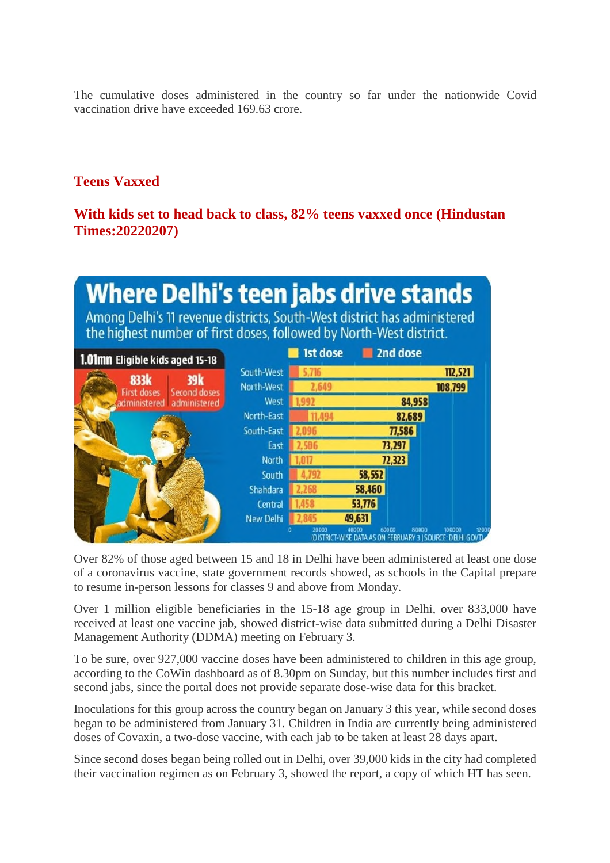The cumulative doses administered in the country so far under the nationwide Covid vaccination drive have exceeded 169.63 crore.

## **Teens Vaxxed**

#### **With kids set to head back to class, 82% teens vaxxed once (Hindustan Times:20220207)**

| <b>Where Delhi's teen jabs drive stands</b><br>Among Delhi's 11 revenue districts, South-West district has administered<br>the highest number of first doses, followed by North-West district. |                  |          |                |                                       |         |      |
|------------------------------------------------------------------------------------------------------------------------------------------------------------------------------------------------|------------------|----------|----------------|---------------------------------------|---------|------|
| 1.01mn Eligible kids aged 15-18                                                                                                                                                                |                  | 1st dose |                | 2nd dose                              |         |      |
| 39k<br>833k<br><b>First doses</b><br><b>Second doses</b><br>administered administered                                                                                                          | South-West       |          |                |                                       | 112,521 |      |
|                                                                                                                                                                                                | North-West       | 2,649    |                |                                       | 108,799 |      |
|                                                                                                                                                                                                | West             |          |                | 84,958                                |         |      |
|                                                                                                                                                                                                | North-East       |          |                | 82,689                                |         |      |
|                                                                                                                                                                                                | South-East       |          |                | 77,586                                |         |      |
|                                                                                                                                                                                                | East             |          |                | 73,297                                |         |      |
|                                                                                                                                                                                                | North            |          |                | 72,323                                |         |      |
|                                                                                                                                                                                                | South            |          | 58,552         |                                       |         |      |
|                                                                                                                                                                                                | Shahdara         |          | 58,460         |                                       |         |      |
|                                                                                                                                                                                                | Central          |          | 53,776         |                                       |         |      |
|                                                                                                                                                                                                | <b>New Delhi</b> |          | 49,631         |                                       |         |      |
|                                                                                                                                                                                                |                  | 20000    | 40000<br>60000 | 80000<br>ON FEBRUARY 3   SOURCE: DELH | າດດດດດ  | 1200 |

Over 82% of those aged between 15 and 18 in Delhi have been administered at least one dose of a coronavirus vaccine, state government records showed, as schools in the Capital prepare to resume in-person lessons for classes 9 and above from Monday.

Over 1 million eligible beneficiaries in the 15-18 age group in Delhi, over 833,000 have received at least one vaccine jab, showed district-wise data submitted during a Delhi Disaster Management Authority (DDMA) meeting on February 3.

To be sure, over 927,000 vaccine doses have been administered to children in this age group, according to the CoWin dashboard as of 8.30pm on Sunday, but this number includes first and second jabs, since the portal does not provide separate dose-wise data for this bracket.

Inoculations for this group across the country began on January 3 this year, while second doses began to be administered from January 31. Children in India are currently being administered doses of Covaxin, a two-dose vaccine, with each jab to be taken at least 28 days apart.

Since second doses began being rolled out in Delhi, over 39,000 kids in the city had completed their vaccination regimen as on February 3, showed the report, a copy of which HT has seen.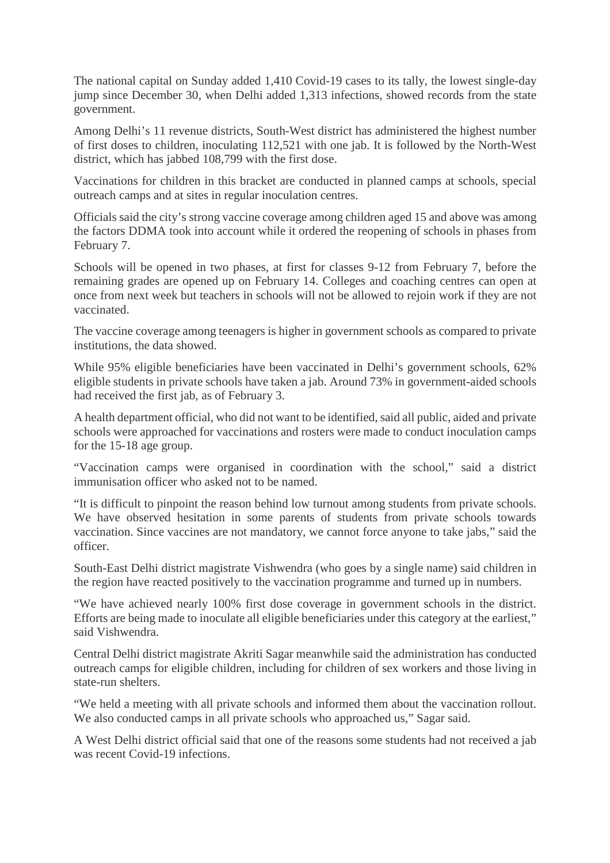The national capital on Sunday added 1,410 Covid-19 cases to its tally, the lowest single-day jump since December 30, when Delhi added 1,313 infections, showed records from the state government.

Among Delhi's 11 revenue districts, South-West district has administered the highest number of first doses to children, inoculating 112,521 with one jab. It is followed by the North-West district, which has jabbed 108,799 with the first dose.

Vaccinations for children in this bracket are conducted in planned camps at schools, special outreach camps and at sites in regular inoculation centres.

Officials said the city's strong vaccine coverage among children aged 15 and above was among the factors DDMA took into account while it ordered the reopening of schools in phases from February 7.

Schools will be opened in two phases, at first for classes 9-12 from February 7, before the remaining grades are opened up on February 14. Colleges and coaching centres can open at once from next week but teachers in schools will not be allowed to rejoin work if they are not vaccinated.

The vaccine coverage among teenagers is higher in government schools as compared to private institutions, the data showed.

While 95% eligible beneficiaries have been vaccinated in Delhi's government schools, 62% eligible students in private schools have taken a jab. Around 73% in government-aided schools had received the first jab, as of February 3.

A health department official, who did not want to be identified, said all public, aided and private schools were approached for vaccinations and rosters were made to conduct inoculation camps for the 15-18 age group.

"Vaccination camps were organised in coordination with the school," said a district immunisation officer who asked not to be named.

"It is difficult to pinpoint the reason behind low turnout among students from private schools. We have observed hesitation in some parents of students from private schools towards vaccination. Since vaccines are not mandatory, we cannot force anyone to take jabs," said the officer.

South-East Delhi district magistrate Vishwendra (who goes by a single name) said children in the region have reacted positively to the vaccination programme and turned up in numbers.

"We have achieved nearly 100% first dose coverage in government schools in the district. Efforts are being made to inoculate all eligible beneficiaries under this category at the earliest," said Vishwendra.

Central Delhi district magistrate Akriti Sagar meanwhile said the administration has conducted outreach camps for eligible children, including for children of sex workers and those living in state-run shelters.

"We held a meeting with all private schools and informed them about the vaccination rollout. We also conducted camps in all private schools who approached us," Sagar said.

A West Delhi district official said that one of the reasons some students had not received a jab was recent Covid-19 infections.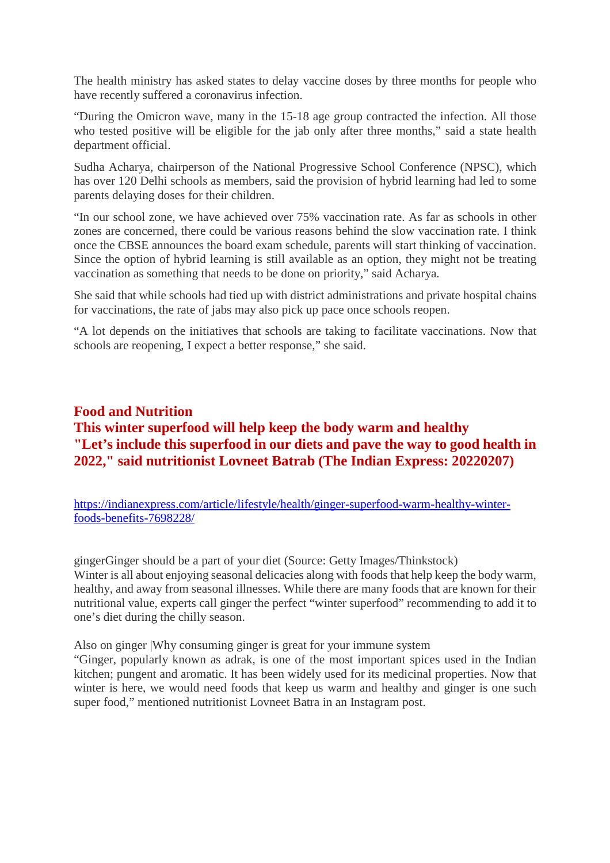The health ministry has asked states to delay vaccine doses by three months for people who have recently suffered a coronavirus infection.

"During the Omicron wave, many in the 15-18 age group contracted the infection. All those who tested positive will be eligible for the jab only after three months," said a state health department official.

Sudha Acharya, chairperson of the National Progressive School Conference (NPSC), which has over 120 Delhi schools as members, said the provision of hybrid learning had led to some parents delaying doses for their children.

"In our school zone, we have achieved over 75% vaccination rate. As far as schools in other zones are concerned, there could be various reasons behind the slow vaccination rate. I think once the CBSE announces the board exam schedule, parents will start thinking of vaccination. Since the option of hybrid learning is still available as an option, they might not be treating vaccination as something that needs to be done on priority," said Acharya.

She said that while schools had tied up with district administrations and private hospital chains for vaccinations, the rate of jabs may also pick up pace once schools reopen.

"A lot depends on the initiatives that schools are taking to facilitate vaccinations. Now that schools are reopening, I expect a better response," she said.

# **Food and Nutrition This winter superfood will help keep the body warm and healthy "Let's include this superfood in our diets and pave the way to good health in 2022," said nutritionist Lovneet Batrab (The Indian Express: 20220207)**

https://indianexpress.com/article/lifestyle/health/ginger-superfood-warm-healthy-winterfoods-benefits-7698228/

gingerGinger should be a part of your diet (Source: Getty Images/Thinkstock) Winter is all about enjoying seasonal delicacies along with foods that help keep the body warm, healthy, and away from seasonal illnesses. While there are many foods that are known for their nutritional value, experts call ginger the perfect "winter superfood" recommending to add it to one's diet during the chilly season.

Also on ginger |Why consuming ginger is great for your immune system

"Ginger, popularly known as adrak, is one of the most important spices used in the Indian kitchen; pungent and aromatic. It has been widely used for its medicinal properties. Now that winter is here, we would need foods that keep us warm and healthy and ginger is one such super food," mentioned nutritionist Lovneet Batra in an Instagram post.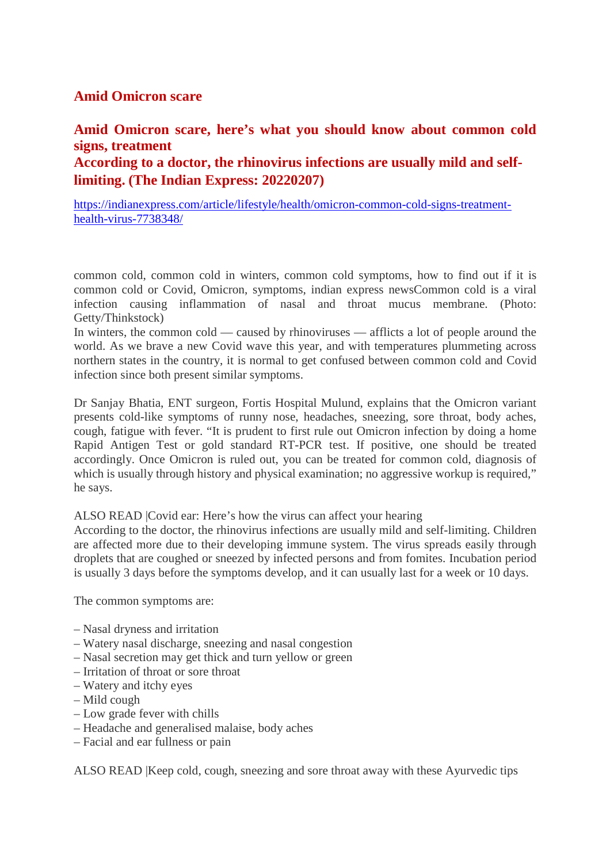#### **Amid Omicron scare**

## **Amid Omicron scare, here's what you should know about common cold signs, treatment According to a doctor, the rhinovirus infections are usually mild and selflimiting. (The Indian Express: 20220207)**

https://indianexpress.com/article/lifestyle/health/omicron-common-cold-signs-treatmenthealth-virus-7738348/

common cold, common cold in winters, common cold symptoms, how to find out if it is common cold or Covid, Omicron, symptoms, indian express newsCommon cold is a viral infection causing inflammation of nasal and throat mucus membrane. (Photo: Getty/Thinkstock)

In winters, the common cold — caused by rhinoviruses — afflicts a lot of people around the world. As we brave a new Covid wave this year, and with temperatures plummeting across northern states in the country, it is normal to get confused between common cold and Covid infection since both present similar symptoms.

Dr Sanjay Bhatia, ENT surgeon, Fortis Hospital Mulund, explains that the Omicron variant presents cold-like symptoms of runny nose, headaches, sneezing, sore throat, body aches, cough, fatigue with fever. "It is prudent to first rule out Omicron infection by doing a home Rapid Antigen Test or gold standard RT-PCR test. If positive, one should be treated accordingly. Once Omicron is ruled out, you can be treated for common cold, diagnosis of which is usually through history and physical examination; no aggressive workup is required," he says.

#### ALSO READ |Covid ear: Here's how the virus can affect your hearing

According to the doctor, the rhinovirus infections are usually mild and self-limiting. Children are affected more due to their developing immune system. The virus spreads easily through droplets that are coughed or sneezed by infected persons and from fomites. Incubation period is usually 3 days before the symptoms develop, and it can usually last for a week or 10 days.

The common symptoms are:

- Nasal dryness and irritation
- Watery nasal discharge, sneezing and nasal congestion
- Nasal secretion may get thick and turn yellow or green
- Irritation of throat or sore throat
- Watery and itchy eyes
- Mild cough
- Low grade fever with chills
- Headache and generalised malaise, body aches
- Facial and ear fullness or pain

ALSO READ |Keep cold, cough, sneezing and sore throat away with these Ayurvedic tips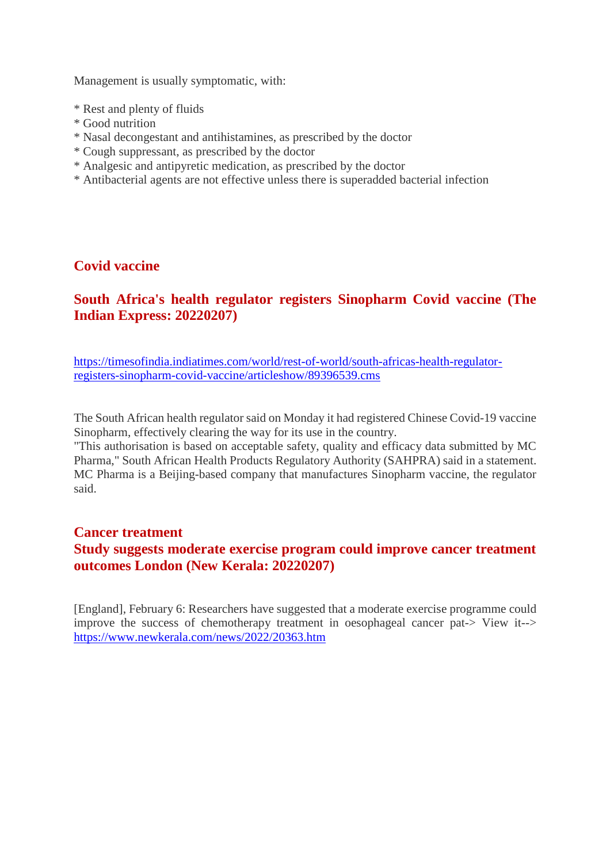Management is usually symptomatic, with:

- \* Rest and plenty of fluids
- \* Good nutrition
- \* Nasal decongestant and antihistamines, as prescribed by the doctor
- \* Cough suppressant, as prescribed by the doctor
- \* Analgesic and antipyretic medication, as prescribed by the doctor
- \* Antibacterial agents are not effective unless there is superadded bacterial infection

#### **Covid vaccine**

## **South Africa's health regulator registers Sinopharm Covid vaccine (The Indian Express: 20220207)**

https://timesofindia.indiatimes.com/world/rest-of-world/south-africas-health-regulatorregisters-sinopharm-covid-vaccine/articleshow/89396539.cms

The South African health regulator said on Monday it had registered Chinese Covid-19 vaccine Sinopharm, effectively clearing the way for its use in the country.

"This authorisation is based on acceptable safety, quality and efficacy data submitted by MC Pharma," South African Health Products Regulatory Authority (SAHPRA) said in a statement. MC Pharma is a Beijing-based company that manufactures Sinopharm vaccine, the regulator said.

#### **Cancer treatment Study suggests moderate exercise program could improve cancer treatment outcomes London (New Kerala: 20220207)**

[England], February 6: Researchers have suggested that a moderate exercise programme could improve the success of chemotherapy treatment in oesophageal cancer pat-> View it--> https://www.newkerala.com/news/2022/20363.htm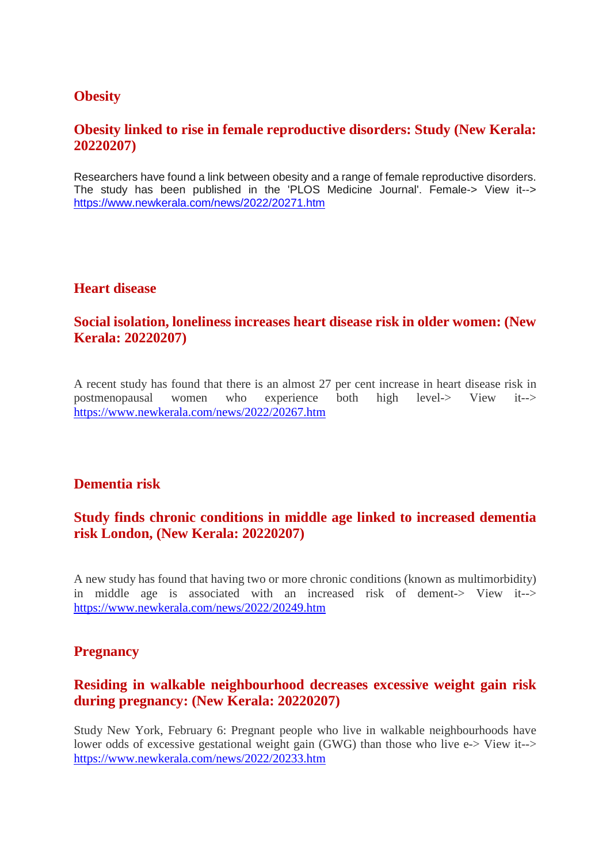#### **Obesity**

#### **Obesity linked to rise in female reproductive disorders: Study (New Kerala: 20220207)**

Researchers have found a link between obesity and a range of female reproductive disorders. The study has been published in the 'PLOS Medicine Journal'. Female-> View it--> https://www.newkerala.com/news/2022/20271.htm

#### **Heart disease**

#### **Social isolation, loneliness increases heart disease risk in older women: (New Kerala: 20220207)**

A recent study has found that there is an almost 27 per cent increase in heart disease risk in postmenopausal women who experience both high level-> View it--> https://www.newkerala.com/news/2022/20267.htm

#### **Dementia risk**

## **Study finds chronic conditions in middle age linked to increased dementia risk London, (New Kerala: 20220207)**

A new study has found that having two or more chronic conditions (known as multimorbidity) in middle age is associated with an increased risk of dement-> View it--> https://www.newkerala.com/news/2022/20249.htm

#### **Pregnancy**

#### **Residing in walkable neighbourhood decreases excessive weight gain risk during pregnancy: (New Kerala: 20220207)**

Study New York, February 6: Pregnant people who live in walkable neighbourhoods have lower odds of excessive gestational weight gain (GWG) than those who live e-> View it--> https://www.newkerala.com/news/2022/20233.htm